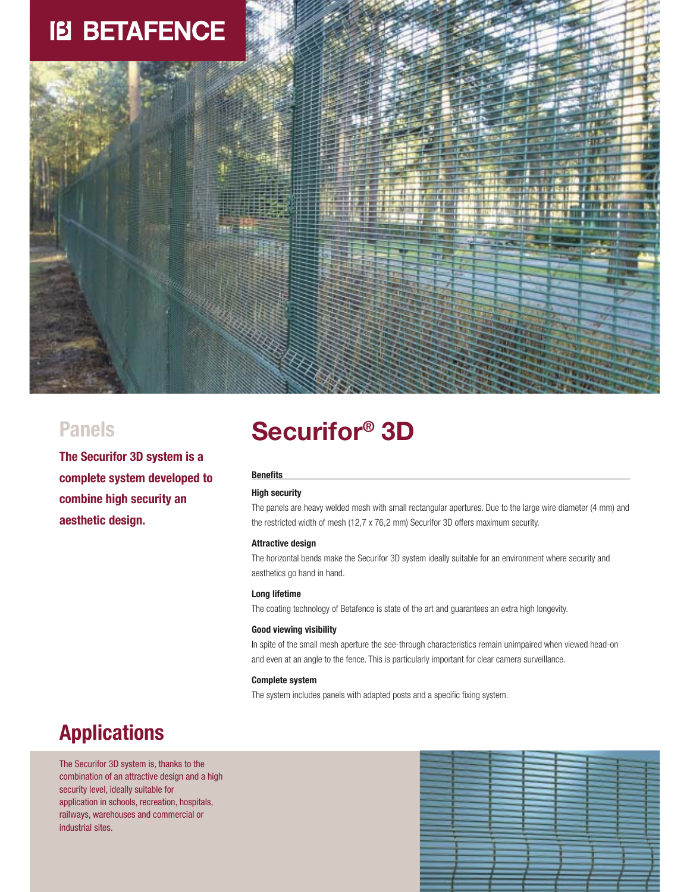# **IB BETAFENCE**



**The Securifor 3D system is a complete system developed to combine high security an aesthetic design.** 

## **Securifor® Panels 3D**

#### **Benefits**

#### **High security**

The panels are heavy welded mesh with small rectangular apertures. Due to the large wire diameter (4 mm) and the restricted width of mesh (12,7 x 76,2 mm) Securifor 3D offers maximum security.

#### **Attractive design**

The horizontal bends make the Securifor 3D system ideally suitable for an environment where security and aesthetics go hand in hand.

#### **Long lifetime**

The coating technology of Betafence is state of the art and guarantees an extra high longevity.

#### **Good viewing visibility**

In spite of the small mesh aperture the see-through characteristics remain unimpaired when viewed head-on and even at an angle to the fence. This is particularly important for clear camera surveillance.

#### **Complete system**

The system includes panels with adapted posts and a specific fixing system.

### **Applications**

The Securifor 3D system is, thanks to the combination of an attractive design and a high security level, ideally suitable for application in schools, recreation, hospitals, railways, warehouses and commercial or industrial sites.